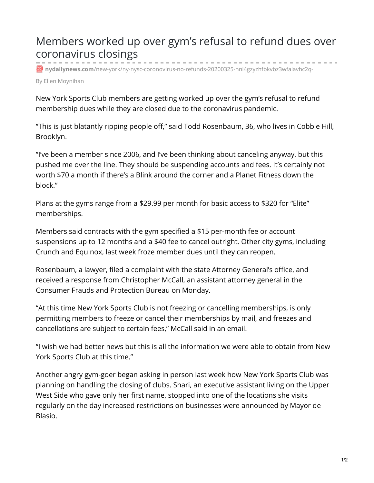## Members worked up over gym's refusal to refund dues over coronavirus closings

**nydailynews.com**[/new-york/ny-nysc-coronovirus-no-refunds-20200325-nni4gzyzhfbkvbz3wfalavhc2q-](https://www.nydailynews.com/new-york/ny-nysc-coronovirus-no-refunds-20200325-nni4gzyzhfbkvbz3wfalavhc2q-story.html)

By Ellen Moynihan

New York Sports Club members are getting worked up over the gym's refusal to refund membership dues while they are closed due to the coronavirus pandemic.

"This is just blatantly ripping people off," said Todd Rosenbaum, 36, who lives in Cobble Hill, Brooklyn.

"I've been a member since 2006, and I've been thinking about canceling anyway, but this pushed me over the line. They should be suspending accounts and fees. It's certainly not worth \$70 a month if there's a Blink around the corner and a Planet Fitness down the block."

Plans at the gyms range from a \$29.99 per month for basic access to \$320 for "Elite" memberships.

Members said contracts with the gym specified a \$15 per-month fee or account suspensions up to 12 months and a \$40 fee to cancel outright. Other city gyms, including Crunch and Equinox, last week froze member dues until they can reopen.

Rosenbaum, a lawyer, filed a complaint with the state Attorney General's office, and received a response from Christopher McCall, an assistant attorney general in the Consumer Frauds and Protection Bureau on Monday.

"At this time New York Sports Club is not freezing or cancelling memberships, is only permitting members to freeze or cancel their memberships by mail, and freezes and cancellations are subject to certain fees," McCall said in an email.

"I wish we had better news but this is all the information we were able to obtain from New York Sports Club at this time."

Another angry gym-goer began asking in person last week how New York Sports Club was planning on handling the closing of clubs. Shari, an executive assistant living on the Upper West Side who gave only her first name, stopped into one of the locations she visits regularly on the day increased restrictions on businesses were announced by Mayor de Blasio.